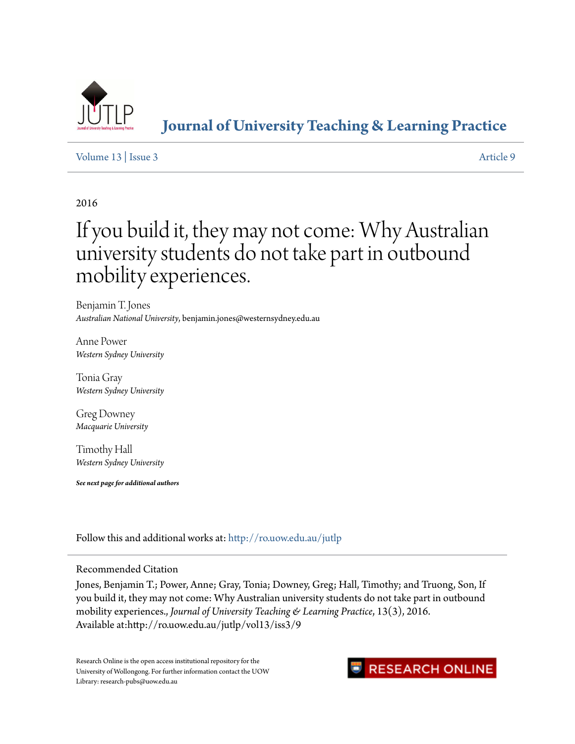

**[Journal of University Teaching & Learning Practice](http://ro.uow.edu.au/jutlp?utm_source=ro.uow.edu.au%2Fjutlp%2Fvol13%2Fiss3%2F9&utm_medium=PDF&utm_campaign=PDFCoverPages)**

# [Volume 13](http://ro.uow.edu.au/jutlp/vol13?utm_source=ro.uow.edu.au%2Fjutlp%2Fvol13%2Fiss3%2F9&utm_medium=PDF&utm_campaign=PDFCoverPages) | [Issue 3](http://ro.uow.edu.au/jutlp/vol13/iss3?utm_source=ro.uow.edu.au%2Fjutlp%2Fvol13%2Fiss3%2F9&utm_medium=PDF&utm_campaign=PDFCoverPages) [Article 9](http://ro.uow.edu.au/jutlp/vol13/iss3/9?utm_source=ro.uow.edu.au%2Fjutlp%2Fvol13%2Fiss3%2F9&utm_medium=PDF&utm_campaign=PDFCoverPages)

# 2016

# If you build it, they may not come: Why Australian university students do not take part in outbound mobility experiences.

Benjamin T. Jones *Australian National University*, benjamin.jones@westernsydney.edu.au

Anne Power *Western Sydney University*

Tonia Gray *Western Sydney University*

Greg Downey *Macquarie University*

Timothy Hall *Western Sydney University*

*See next page for additional authors*

Follow this and additional works at: [http://ro.uow.edu.au/jutlp](http://ro.uow.edu.au/jutlp?utm_source=ro.uow.edu.au%2Fjutlp%2Fvol13%2Fiss3%2F9&utm_medium=PDF&utm_campaign=PDFCoverPages)

## Recommended Citation

Jones, Benjamin T.; Power, Anne; Gray, Tonia; Downey, Greg; Hall, Timothy; and Truong, Son, If you build it, they may not come: Why Australian university students do not take part in outbound mobility experiences., *Journal of University Teaching & Learning Practice*, 13(3), 2016. Available at:http://ro.uow.edu.au/jutlp/vol13/iss3/9

Research Online is the open access institutional repository for the University of Wollongong. For further information contact the UOW Library: research-pubs@uow.edu.au

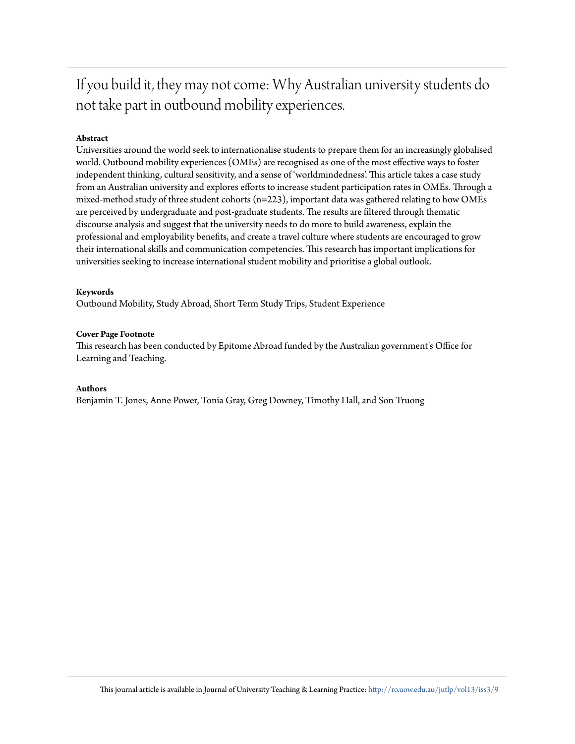If you build it, they may not come: Why Australian university students do not take part in outbound mobility experiences.

### **Abstract**

Universities around the world seek to internationalise students to prepare them for an increasingly globalised world. Outbound mobility experiences (OMEs) are recognised as one of the most effective ways to foster independent thinking, cultural sensitivity, and a sense of 'worldmindedness'. This article takes a case study from an Australian university and explores efforts to increase student participation rates in OMEs. Through a mixed-method study of three student cohorts (n=223), important data was gathered relating to how OMEs are perceived by undergraduate and post-graduate students. The results are filtered through thematic discourse analysis and suggest that the university needs to do more to build awareness, explain the professional and employability benefits, and create a travel culture where students are encouraged to grow their international skills and communication competencies. This research has important implications for universities seeking to increase international student mobility and prioritise a global outlook.

#### **Keywords**

Outbound Mobility, Study Abroad, Short Term Study Trips, Student Experience

#### **Cover Page Footnote**

This research has been conducted by Epitome Abroad funded by the Australian government's Office for Learning and Teaching.

#### **Authors**

Benjamin T. Jones, Anne Power, Tonia Gray, Greg Downey, Timothy Hall, and Son Truong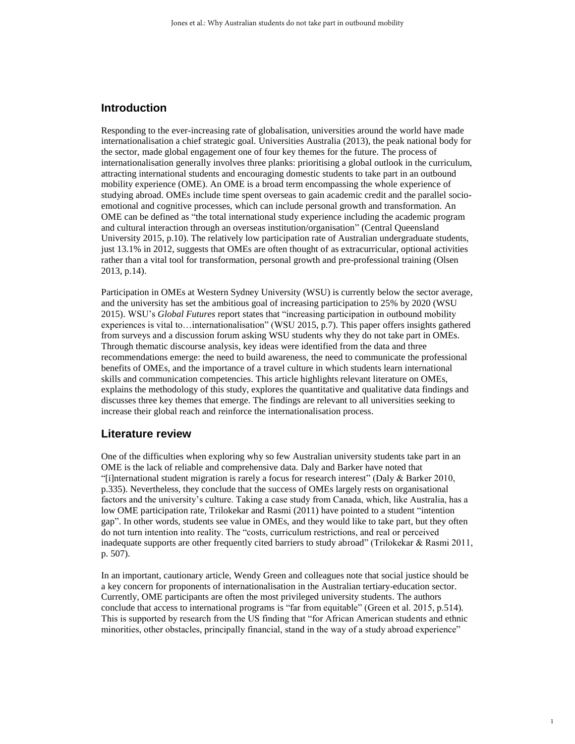## **Introduction**

Responding to the ever-increasing rate of globalisation, universities around the world have made internationalisation a chief strategic goal. Universities Australia (2013), the peak national body for the sector, made global engagement one of four key themes for the future. The process of internationalisation generally involves three planks: prioritising a global outlook in the curriculum, attracting international students and encouraging domestic students to take part in an outbound mobility experience (OME). An OME is a broad term encompassing the whole experience of studying abroad. OMEs include time spent overseas to gain academic credit and the parallel socioemotional and cognitive processes, which can include personal growth and transformation. An OME can be defined as "the total international study experience including the academic program and cultural interaction through an overseas institution/organisation" (Central Queensland University 2015, p.10). The relatively low participation rate of Australian undergraduate students, just 13.1% in 2012, suggests that OMEs are often thought of as extracurricular, optional activities rather than a vital tool for transformation, personal growth and pre-professional training (Olsen 2013, p.14).

Participation in OMEs at Western Sydney University (WSU) is currently below the sector average, and the university has set the ambitious goal of increasing participation to 25% by 2020 (WSU 2015). WSU's *Global Futures* report states that "increasing participation in outbound mobility experiences is vital to…internationalisation" (WSU 2015, p.7). This paper offers insights gathered from surveys and a discussion forum asking WSU students why they do not take part in OMEs. Through thematic discourse analysis, key ideas were identified from the data and three recommendations emerge: the need to build awareness, the need to communicate the professional benefits of OMEs, and the importance of a travel culture in which students learn international skills and communication competencies. This article highlights relevant literature on OMEs, explains the methodology of this study, explores the quantitative and qualitative data findings and discusses three key themes that emerge. The findings are relevant to all universities seeking to increase their global reach and reinforce the internationalisation process.

#### **Literature review**

One of the difficulties when exploring why so few Australian university students take part in an OME is the lack of reliable and comprehensive data. Daly and Barker have noted that "[i]nternational student migration is rarely a focus for research interest" (Daly & Barker 2010, p.335). Nevertheless, they conclude that the success of OMEs largely rests on organisational factors and the university's culture. Taking a case study from Canada, which, like Australia, has a low OME participation rate, Trilokekar and Rasmi (2011) have pointed to a student "intention gap". In other words, students see value in OMEs, and they would like to take part, but they often do not turn intention into reality. The "costs, curriculum restrictions, and real or perceived inadequate supports are other frequently cited barriers to study abroad" (Trilokekar & Rasmi 2011, p. 507).

In an important, cautionary article, Wendy Green and colleagues note that social justice should be a key concern for proponents of internationalisation in the Australian tertiary-education sector. Currently, OME participants are often the most privileged university students. The authors conclude that access to international programs is "far from equitable" (Green et al. 2015, p.514). This is supported by research from the US finding that "for African American students and ethnic minorities, other obstacles, principally financial, stand in the way of a study abroad experience"

1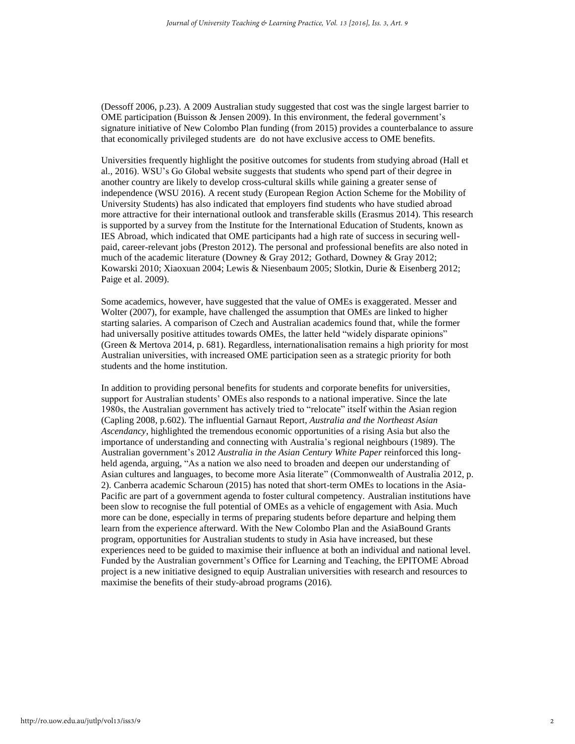(Dessoff 2006, p.23). A 2009 Australian study suggested that cost was the single largest barrier to OME participation (Buisson & Jensen 2009). In this environment, the federal government's signature initiative of New Colombo Plan funding (from 2015) provides a counterbalance to assure that economically privileged students are do not have exclusive access to OME benefits.

Universities frequently highlight the positive outcomes for students from studying abroad (Hall et al., 2016). WSU's Go Global website suggests that students who spend part of their degree in another country are likely to develop cross-cultural skills while gaining a greater sense of independence (WSU 2016). A recent study (European Region Action Scheme for the Mobility of University Students) has also indicated that employers find students who have studied abroad more attractive for their international outlook and transferable skills (Erasmus 2014). This research is supported by a survey from the Institute for the International Education of Students, known as IES Abroad, which indicated that OME participants had a high rate of success in securing wellpaid, career-relevant jobs (Preston 2012). The personal and professional benefits are also noted in much of the academic literature (Downey & Gray 2012; Gothard, Downey & Gray 2012; Kowarski 2010; Xiaoxuan 2004; Lewis & Niesenbaum 2005; Slotkin, Durie & Eisenberg 2012; Paige et al. 2009).

Some academics, however, have suggested that the value of OMEs is exaggerated. Messer and Wolter (2007), for example, have challenged the assumption that OMEs are linked to higher starting salaries. A comparison of Czech and Australian academics found that, while the former had universally positive attitudes towards OMEs, the latter held "widely disparate opinions" (Green & Mertova 2014, p. 681). Regardless, internationalisation remains a high priority for most Australian universities, with increased OME participation seen as a strategic priority for both students and the home institution.

In addition to providing personal benefits for students and corporate benefits for universities, support for Australian students' OMEs also responds to a national imperative. Since the late 1980s, the Australian government has actively tried to "relocate" itself within the Asian region (Capling 2008, p.602). The influential Garnaut Report, *Australia and the Northeast Asian Ascendancy*, highlighted the tremendous economic opportunities of a rising Asia but also the importance of understanding and connecting with Australia's regional neighbours (1989). The Australian government's 2012 *Australia in the Asian Century White Paper* reinforced this longheld agenda, arguing, "As a nation we also need to broaden and deepen our understanding of Asian cultures and languages, to become more Asia literate" (Commonwealth of Australia 2012, p. 2). Canberra academic Scharoun (2015) has noted that short-term OMEs to locations in the Asia-Pacific are part of a government agenda to foster cultural competency. Australian institutions have been slow to recognise the full potential of OMEs as a vehicle of engagement with Asia. Much more can be done, especially in terms of preparing students before departure and helping them learn from the experience afterward. With the New Colombo Plan and the AsiaBound Grants program, opportunities for Australian students to study in Asia have increased, but these experiences need to be guided to maximise their influence at both an individual and national level. Funded by the Australian government's Office for Learning and Teaching, the EPITOME Abroad project is a new initiative designed to equip Australian universities with research and resources to maximise the benefits of their study-abroad programs (2016).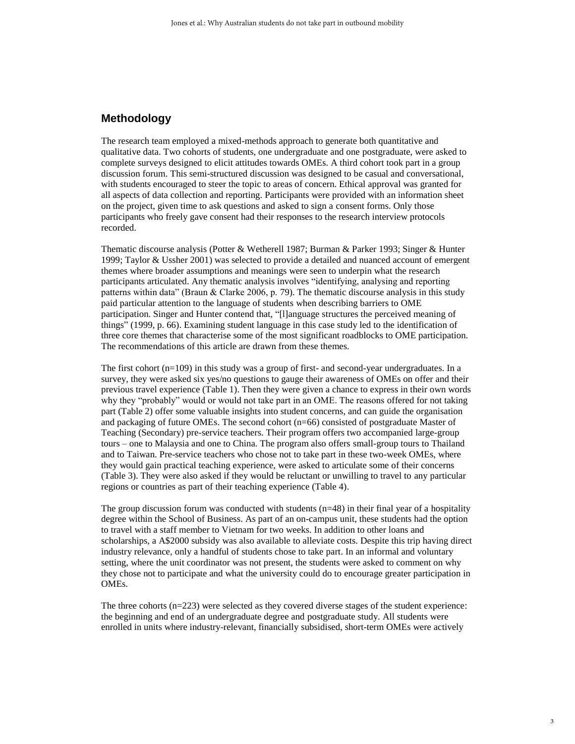## **Methodology**

The research team employed a mixed-methods approach to generate both quantitative and qualitative data. Two cohorts of students, one undergraduate and one postgraduate, were asked to complete surveys designed to elicit attitudes towards OMEs. A third cohort took part in a group discussion forum. This semi-structured discussion was designed to be casual and conversational, with students encouraged to steer the topic to areas of concern. Ethical approval was granted for all aspects of data collection and reporting. Participants were provided with an information sheet on the project, given time to ask questions and asked to sign a consent forms. Only those participants who freely gave consent had their responses to the research interview protocols recorded.

Thematic discourse analysis (Potter & Wetherell 1987; Burman & Parker 1993; Singer & Hunter 1999; Taylor & Ussher 2001) was selected to provide a detailed and nuanced account of emergent themes where broader assumptions and meanings were seen to underpin what the research participants articulated. Any thematic analysis involves "identifying, analysing and reporting patterns within data" (Braun & Clarke 2006, p. 79). The thematic discourse analysis in this study paid particular attention to the language of students when describing barriers to OME participation. Singer and Hunter contend that, "[l]anguage structures the perceived meaning of things" (1999, p. 66). Examining student language in this case study led to the identification of three core themes that characterise some of the most significant roadblocks to OME participation. The recommendations of this article are drawn from these themes.

The first cohort (n=109) in this study was a group of first- and second-year undergraduates. In a survey, they were asked six yes/no questions to gauge their awareness of OMEs on offer and their previous travel experience (Table 1). Then they were given a chance to express in their own words why they "probably" would or would not take part in an OME. The reasons offered for not taking part (Table 2) offer some valuable insights into student concerns, and can guide the organisation and packaging of future OMEs. The second cohort (n=66) consisted of postgraduate Master of Teaching (Secondary) pre-service teachers. Their program offers two accompanied large-group tours – one to Malaysia and one to China. The program also offers small-group tours to Thailand and to Taiwan. Pre-service teachers who chose not to take part in these two-week OMEs, where they would gain practical teaching experience, were asked to articulate some of their concerns (Table 3). They were also asked if they would be reluctant or unwilling to travel to any particular regions or countries as part of their teaching experience (Table 4).

The group discussion forum was conducted with students  $(n=48)$  in their final year of a hospitality degree within the School of Business. As part of an on-campus unit, these students had the option to travel with a staff member to Vietnam for two weeks. In addition to other loans and scholarships, a A\$2000 subsidy was also available to alleviate costs. Despite this trip having direct industry relevance, only a handful of students chose to take part. In an informal and voluntary setting, where the unit coordinator was not present, the students were asked to comment on why they chose not to participate and what the university could do to encourage greater participation in OMEs.

The three cohorts (n=223) were selected as they covered diverse stages of the student experience: the beginning and end of an undergraduate degree and postgraduate study. All students were enrolled in units where industry-relevant, financially subsidised, short-term OMEs were actively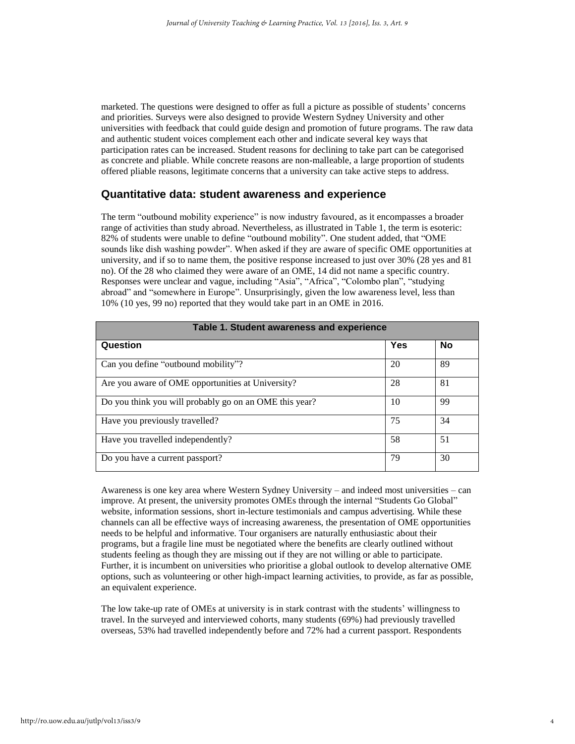marketed. The questions were designed to offer as full a picture as possible of students' concerns and priorities. Surveys were also designed to provide Western Sydney University and other universities with feedback that could guide design and promotion of future programs. The raw data and authentic student voices complement each other and indicate several key ways that participation rates can be increased. Student reasons for declining to take part can be categorised as concrete and pliable. While concrete reasons are non-malleable, a large proportion of students offered pliable reasons, legitimate concerns that a university can take active steps to address.

## **Quantitative data: student awareness and experience**

The term "outbound mobility experience" is now industry favoured, as it encompasses a broader range of activities than study abroad. Nevertheless, as illustrated in Table 1, the term is esoteric: 82% of students were unable to define "outbound mobility". One student added, that "OME sounds like dish washing powder". When asked if they are aware of specific OME opportunities at university, and if so to name them, the positive response increased to just over 30% (28 yes and 81 no). Of the 28 who claimed they were aware of an OME, 14 did not name a specific country. Responses were unclear and vague, including "Asia", "Africa", "Colombo plan", "studying abroad" and "somewhere in Europe". Unsurprisingly, given the low awareness level, less than 10% (10 yes, 99 no) reported that they would take part in an OME in 2016.

| Table 1. Student awareness and experience              |     |           |  |
|--------------------------------------------------------|-----|-----------|--|
| Question                                               | Yes | <b>No</b> |  |
| Can you define "outbound mobility"?                    | 20  | 89        |  |
| Are you aware of OME opportunities at University?      | 28  | 81        |  |
| Do you think you will probably go on an OME this year? | 10  | 99        |  |
| Have you previously travelled?                         | 75  | 34        |  |
| Have you travelled independently?                      | 58  | 51        |  |
| Do you have a current passport?                        | 79  | 30        |  |

Awareness is one key area where Western Sydney University – and indeed most universities – can improve. At present, the university promotes OMEs through the internal "Students Go Global" website, information sessions, short in-lecture testimonials and campus advertising. While these channels can all be effective ways of increasing awareness, the presentation of OME opportunities needs to be helpful and informative. Tour organisers are naturally enthusiastic about their programs, but a fragile line must be negotiated where the benefits are clearly outlined without students feeling as though they are missing out if they are not willing or able to participate. Further, it is incumbent on universities who prioritise a global outlook to develop alternative OME options, such as volunteering or other high-impact learning activities, to provide, as far as possible, an equivalent experience.

The low take-up rate of OMEs at university is in stark contrast with the students' willingness to travel. In the surveyed and interviewed cohorts, many students (69%) had previously travelled overseas, 53% had travelled independently before and 72% had a current passport. Respondents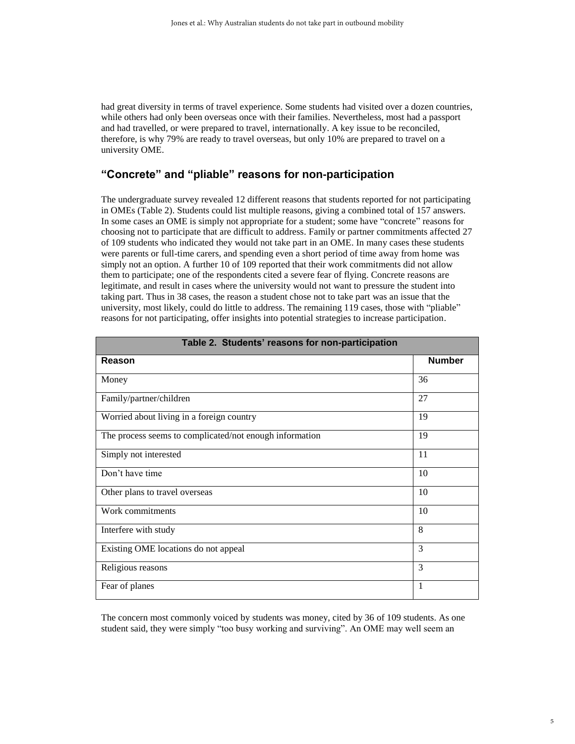had great diversity in terms of travel experience. Some students had visited over a dozen countries, while others had only been overseas once with their families. Nevertheless, most had a passport and had travelled, or were prepared to travel, internationally. A key issue to be reconciled, therefore, is why 79% are ready to travel overseas, but only 10% are prepared to travel on a university OME.

# **"Concrete" and "pliable" reasons for non-participation**

The undergraduate survey revealed 12 different reasons that students reported for not participating in OMEs (Table 2). Students could list multiple reasons, giving a combined total of 157 answers. In some cases an OME is simply not appropriate for a student; some have "concrete" reasons for choosing not to participate that are difficult to address. Family or partner commitments affected 27 of 109 students who indicated they would not take part in an OME. In many cases these students were parents or full-time carers, and spending even a short period of time away from home was simply not an option. A further 10 of 109 reported that their work commitments did not allow them to participate; one of the respondents cited a severe fear of flying. Concrete reasons are legitimate, and result in cases where the university would not want to pressure the student into taking part. Thus in 38 cases, the reason a student chose not to take part was an issue that the university, most likely, could do little to address. The remaining 119 cases, those with "pliable" reasons for not participating, offer insights into potential strategies to increase participation.

| Table 2. Students' reasons for non-participation        |               |  |
|---------------------------------------------------------|---------------|--|
| Reason                                                  | <b>Number</b> |  |
| Money                                                   | 36            |  |
| Family/partner/children                                 | 27            |  |
| Worried about living in a foreign country               | 19            |  |
| The process seems to complicated/not enough information | 19            |  |
| Simply not interested                                   | 11            |  |
| Don't have time                                         | 10            |  |
| Other plans to travel overseas                          | 10            |  |
| Work commitments                                        | 10            |  |
| Interfere with study                                    | 8             |  |
| Existing OME locations do not appeal                    | 3             |  |
| Religious reasons                                       | 3             |  |
| Fear of planes                                          | 1             |  |

The concern most commonly voiced by students was money, cited by 36 of 109 students. As one student said, they were simply "too busy working and surviving". An OME may well seem an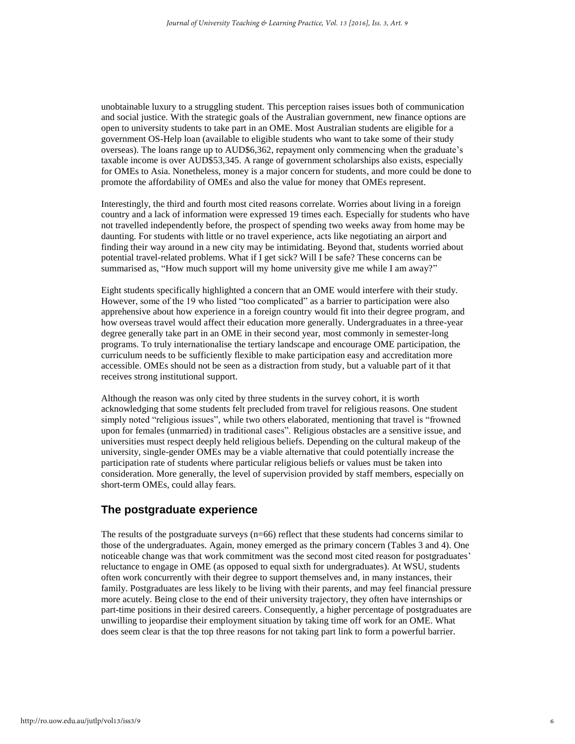unobtainable luxury to a struggling student. This perception raises issues both of communication and social justice. With the strategic goals of the Australian government, new finance options are open to university students to take part in an OME. Most Australian students are eligible for a government OS-Help loan (available to eligible students who want to take some of their study overseas). The loans range up to AUD\$6,362, repayment only commencing when the graduate's taxable income is over AUD\$53,345. A range of government scholarships also exists, especially for OMEs to Asia. Nonetheless, money is a major concern for students, and more could be done to promote the affordability of OMEs and also the value for money that OMEs represent.

Interestingly, the third and fourth most cited reasons correlate. Worries about living in a foreign country and a lack of information were expressed 19 times each. Especially for students who have not travelled independently before, the prospect of spending two weeks away from home may be daunting. For students with little or no travel experience, acts like negotiating an airport and finding their way around in a new city may be intimidating. Beyond that, students worried about potential travel-related problems. What if I get sick? Will I be safe? These concerns can be summarised as, "How much support will my home university give me while I am away?"

Eight students specifically highlighted a concern that an OME would interfere with their study. However, some of the 19 who listed "too complicated" as a barrier to participation were also apprehensive about how experience in a foreign country would fit into their degree program, and how overseas travel would affect their education more generally. Undergraduates in a three-year degree generally take part in an OME in their second year, most commonly in semester-long programs. To truly internationalise the tertiary landscape and encourage OME participation, the curriculum needs to be sufficiently flexible to make participation easy and accreditation more accessible. OMEs should not be seen as a distraction from study, but a valuable part of it that receives strong institutional support.

Although the reason was only cited by three students in the survey cohort, it is worth acknowledging that some students felt precluded from travel for religious reasons. One student simply noted "religious issues", while two others elaborated, mentioning that travel is "frowned upon for females (unmarried) in traditional cases". Religious obstacles are a sensitive issue, and universities must respect deeply held religious beliefs. Depending on the cultural makeup of the university, single-gender OMEs may be a viable alternative that could potentially increase the participation rate of students where particular religious beliefs or values must be taken into consideration. More generally, the level of supervision provided by staff members, especially on short-term OMEs, could allay fears.

# **The postgraduate experience**

The results of the postgraduate surveys (n=66) reflect that these students had concerns similar to those of the undergraduates. Again, money emerged as the primary concern (Tables 3 and 4). One noticeable change was that work commitment was the second most cited reason for postgraduates' reluctance to engage in OME (as opposed to equal sixth for undergraduates). At WSU, students often work concurrently with their degree to support themselves and, in many instances, their family. Postgraduates are less likely to be living with their parents, and may feel financial pressure more acutely. Being close to the end of their university trajectory, they often have internships or part-time positions in their desired careers. Consequently, a higher percentage of postgraduates are unwilling to jeopardise their employment situation by taking time off work for an OME. What does seem clear is that the top three reasons for not taking part link to form a powerful barrier.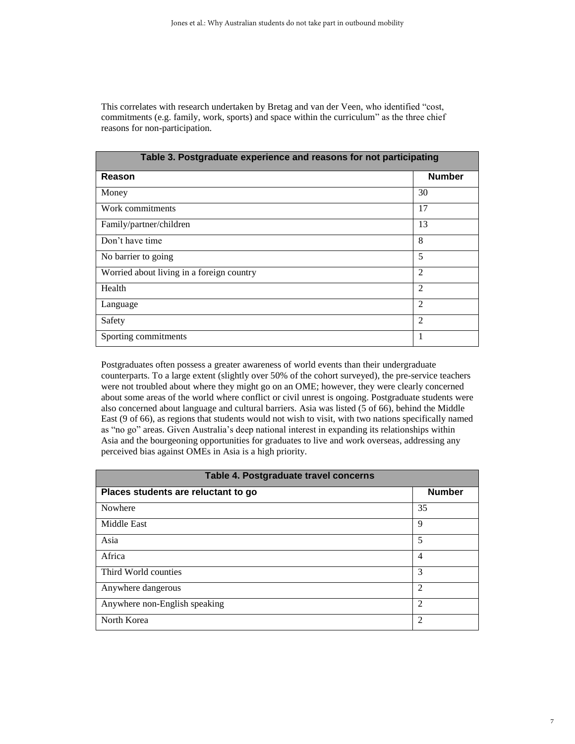This correlates with research undertaken by Bretag and van der Veen, who identified "cost, commitments (e.g. family, work, sports) and space within the curriculum" as the three chief reasons for non-participation.

| Table 3. Postgraduate experience and reasons for not participating |                |  |
|--------------------------------------------------------------------|----------------|--|
| Reason                                                             | <b>Number</b>  |  |
| Money                                                              | 30             |  |
| Work commitments                                                   | 17             |  |
| Family/partner/children                                            | 13             |  |
| Don't have time                                                    | 8              |  |
| No barrier to going                                                | 5              |  |
| Worried about living in a foreign country                          | $\mathfrak{D}$ |  |
| Health                                                             | $\overline{2}$ |  |
| Language                                                           | $\mathfrak{D}$ |  |
| Safety                                                             | $\overline{c}$ |  |
| Sporting commitments                                               |                |  |

Postgraduates often possess a greater awareness of world events than their undergraduate counterparts. To a large extent (slightly over 50% of the cohort surveyed), the pre-service teachers were not troubled about where they might go on an OME; however, they were clearly concerned about some areas of the world where conflict or civil unrest is ongoing. Postgraduate students were also concerned about language and cultural barriers. Asia was listed (5 of 66), behind the Middle East (9 of 66), as regions that students would not wish to visit, with two nations specifically named as "no go" areas. Given Australia's deep national interest in expanding its relationships within Asia and the bourgeoning opportunities for graduates to live and work overseas, addressing any perceived bias against OMEs in Asia is a high priority.

| Table 4. Postgraduate travel concerns |                |  |
|---------------------------------------|----------------|--|
| Places students are reluctant to go   | <b>Number</b>  |  |
| Nowhere                               | 35             |  |
| <b>Middle East</b>                    | 9              |  |
| Asia                                  | 5              |  |
| Africa                                | 4              |  |
| Third World counties                  | 3              |  |
| Anywhere dangerous                    | $\overline{c}$ |  |
| Anywhere non-English speaking         | $\mathfrak{D}$ |  |
| North Korea                           | 2              |  |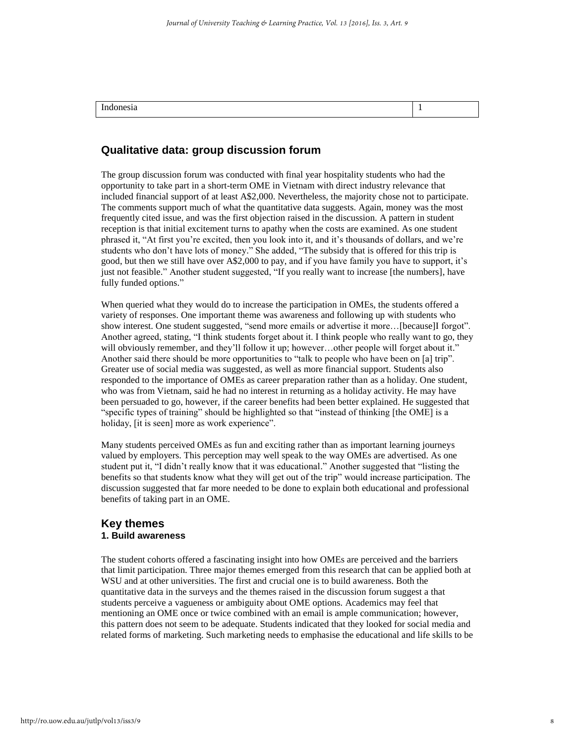| . |  |
|---|--|
|   |  |

# **Qualitative data: group discussion forum**

The group discussion forum was conducted with final year hospitality students who had the opportunity to take part in a short-term OME in Vietnam with direct industry relevance that included financial support of at least A\$2,000. Nevertheless, the majority chose not to participate. The comments support much of what the quantitative data suggests. Again, money was the most frequently cited issue, and was the first objection raised in the discussion. A pattern in student reception is that initial excitement turns to apathy when the costs are examined. As one student phrased it, "At first you're excited, then you look into it, and it's thousands of dollars, and we're students who don't have lots of money." She added, "The subsidy that is offered for this trip is good, but then we still have over A\$2,000 to pay, and if you have family you have to support, it's just not feasible." Another student suggested, "If you really want to increase [the numbers], have fully funded options."

When queried what they would do to increase the participation in OMEs, the students offered a variety of responses. One important theme was awareness and following up with students who show interest. One student suggested, "send more emails or advertise it more…[because]I forgot". Another agreed, stating, "I think students forget about it. I think people who really want to go, they will obviously remember, and they'll follow it up; however...other people will forget about it." Another said there should be more opportunities to "talk to people who have been on [a] trip". Greater use of social media was suggested, as well as more financial support. Students also responded to the importance of OMEs as career preparation rather than as a holiday. One student, who was from Vietnam, said he had no interest in returning as a holiday activity. He may have been persuaded to go, however, if the career benefits had been better explained. He suggested that "specific types of training" should be highlighted so that "instead of thinking [the OME] is a holiday, [it is seen] more as work experience".

Many students perceived OMEs as fun and exciting rather than as important learning journeys valued by employers. This perception may well speak to the way OMEs are advertised. As one student put it, "I didn't really know that it was educational." Another suggested that "listing the benefits so that students know what they will get out of the trip" would increase participation. The discussion suggested that far more needed to be done to explain both educational and professional benefits of taking part in an OME.

#### **Key themes 1. Build awareness**

The student cohorts offered a fascinating insight into how OMEs are perceived and the barriers that limit participation. Three major themes emerged from this research that can be applied both at WSU and at other universities. The first and crucial one is to build awareness. Both the quantitative data in the surveys and the themes raised in the discussion forum suggest a that students perceive a vagueness or ambiguity about OME options. Academics may feel that mentioning an OME once or twice combined with an email is ample communication; however, this pattern does not seem to be adequate. Students indicated that they looked for social media and related forms of marketing. Such marketing needs to emphasise the educational and life skills to be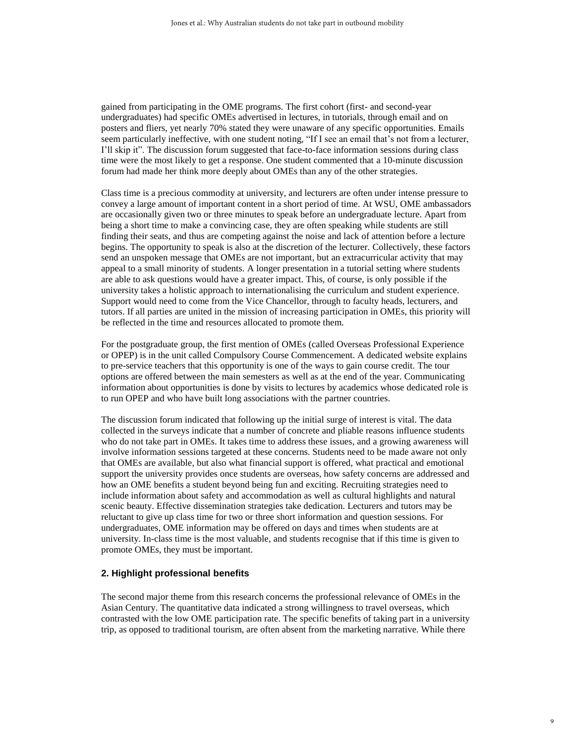gained from participating in the OME programs. The first cohort (first- and second-year undergraduates) had specific OMEs advertised in lectures, in tutorials, through email and on posters and fliers, yet nearly 70% stated they were unaware of any specific opportunities. Emails seem particularly ineffective, with one student noting, "If I see an email that's not from a lecturer, I'll skip it". The discussion forum suggested that face-to-face information sessions during class time were the most likely to get a response. One student commented that a 10-minute discussion forum had made her think more deeply about OMEs than any of the other strategies.

Class time is a precious commodity at university, and lecturers are often under intense pressure to convey a large amount of important content in a short period of time. At WSU, OME ambassadors are occasionally given two or three minutes to speak before an undergraduate lecture. Apart from being a short time to make a convincing case, they are often speaking while students are still finding their seats, and thus are competing against the noise and lack of attention before a lecture begins. The opportunity to speak is also at the discretion of the lecturer. Collectively, these factors send an unspoken message that OMEs are not important, but an extracurricular activity that may appeal to a small minority of students. A longer presentation in a tutorial setting where students are able to ask questions would have a greater impact. This, of course, is only possible if the university takes a holistic approach to internationalising the curriculum and student experience. Support would need to come from the Vice Chancellor, through to faculty heads, lecturers, and tutors. If all parties are united in the mission of increasing participation in OMEs, this priority will be reflected in the time and resources allocated to promote them.

For the postgraduate group, the first mention of OMEs (called Overseas Professional Experience or OPEP) is in the unit called Compulsory Course Commencement. A dedicated website explains to pre-service teachers that this opportunity is one of the ways to gain course credit. The tour options are offered between the main semesters as well as at the end of the year. Communicating information about opportunities is done by visits to lectures by academics whose dedicated role is to run OPEP and who have built long associations with the partner countries.

The discussion forum indicated that following up the initial surge of interest is vital. The data collected in the surveys indicate that a number of concrete and pliable reasons influence students who do not take part in OMEs. It takes time to address these issues, and a growing awareness will involve information sessions targeted at these concerns. Students need to be made aware not only that OMEs are available, but also what financial support is offered, what practical and emotional support the university provides once students are overseas, how safety concerns are addressed and how an OME benefits a student beyond being fun and exciting. Recruiting strategies need to include information about safety and accommodation as well as cultural highlights and natural scenic beauty. Effective dissemination strategies take dedication. Lecturers and tutors may be reluctant to give up class time for two or three short information and question sessions. For undergraduates, OME information may be offered on days and times when students are at university. In-class time is the most valuable, and students recognise that if this time is given to promote OMEs, they must be important.

#### **2. Highlight professional benefits**

The second major theme from this research concerns the professional relevance of OMEs in the Asian Century. The quantitative data indicated a strong willingness to travel overseas, which contrasted with the low OME participation rate. The specific benefits of taking part in a university trip, as opposed to traditional tourism, are often absent from the marketing narrative. While there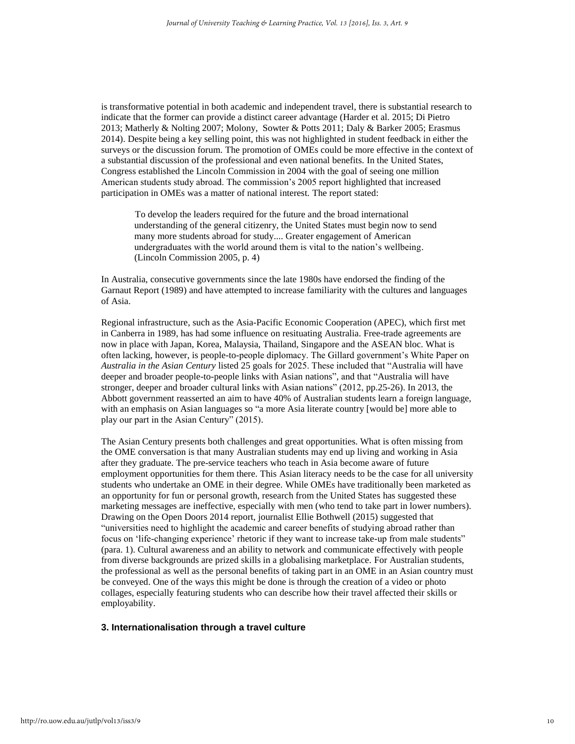is transformative potential in both academic and independent travel, there is substantial research to indicate that the former can provide a distinct career advantage (Harder et al. 2015; Di Pietro 2013; Matherly & Nolting 2007; Molony, Sowter & Potts 2011; Daly & Barker 2005; Erasmus 2014). Despite being a key selling point, this was not highlighted in student feedback in either the surveys or the discussion forum. The promotion of OMEs could be more effective in the context of a substantial discussion of the professional and even national benefits. In the United States, Congress established the Lincoln Commission in 2004 with the goal of seeing one million American students study abroad. The commission's 2005 report highlighted that increased participation in OMEs was a matter of national interest. The report stated:

To develop the leaders required for the future and the broad international understanding of the general citizenry, the United States must begin now to send many more students abroad for study.... Greater engagement of American undergraduates with the world around them is vital to the nation's wellbeing. (Lincoln Commission 2005, p. 4)

In Australia, consecutive governments since the late 1980s have endorsed the finding of the Garnaut Report (1989) and have attempted to increase familiarity with the cultures and languages of Asia.

Regional infrastructure, such as the Asia-Pacific Economic Cooperation (APEC), which first met in Canberra in 1989, has had some influence on resituating Australia. Free-trade agreements are now in place with Japan, Korea, Malaysia, Thailand, Singapore and the ASEAN bloc. What is often lacking, however, is people-to-people diplomacy. The Gillard government's White Paper on *Australia in the Asian Century* listed 25 goals for 2025. These included that "Australia will have deeper and broader people-to-people links with Asian nations", and that "Australia will have stronger, deeper and broader cultural links with Asian nations" (2012, pp.25-26). In 2013, the Abbott government reasserted an aim to have 40% of Australian students learn a foreign language, with an emphasis on Asian languages so "a more Asia literate country [would be] more able to play our part in the Asian Century" (2015).

The Asian Century presents both challenges and great opportunities. What is often missing from the OME conversation is that many Australian students may end up living and working in Asia after they graduate. The pre-service teachers who teach in Asia become aware of future employment opportunities for them there. This Asian literacy needs to be the case for all university students who undertake an OME in their degree. While OMEs have traditionally been marketed as an opportunity for fun or personal growth, research from the United States has suggested these marketing messages are ineffective, especially with men (who tend to take part in lower numbers). Drawing on the Open Doors 2014 report, journalist Ellie Bothwell (2015) suggested that "universities need to highlight the academic and career benefits of studying abroad rather than focus on 'life-changing experience' rhetoric if they want to increase take-up from male students" (para. 1). Cultural awareness and an ability to network and communicate effectively with people from diverse backgrounds are prized skills in a globalising marketplace. For Australian students, the professional as well as the personal benefits of taking part in an OME in an Asian country must be conveyed. One of the ways this might be done is through the creation of a video or photo collages, especially featuring students who can describe how their travel affected their skills or employability.

#### **3. Internationalisation through a travel culture**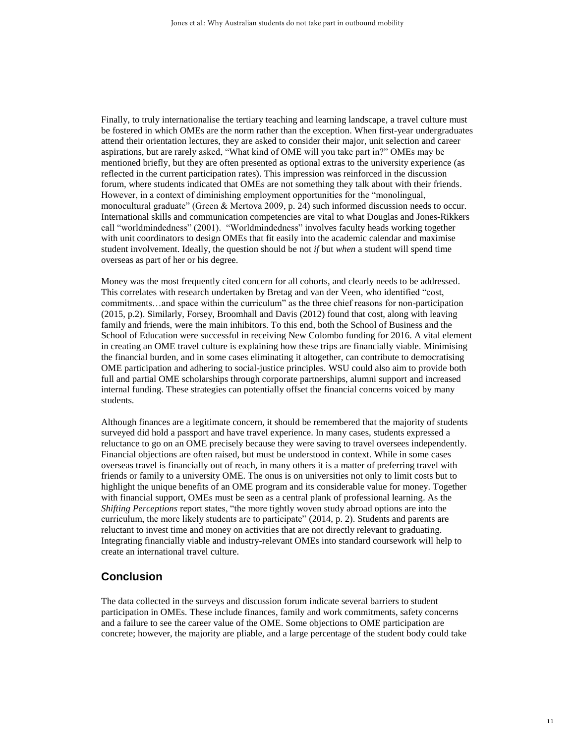Finally, to truly internationalise the tertiary teaching and learning landscape, a travel culture must be fostered in which OMEs are the norm rather than the exception. When first-year undergraduates attend their orientation lectures, they are asked to consider their major, unit selection and career aspirations, but are rarely asked, "What kind of OME will you take part in?" OMEs may be mentioned briefly, but they are often presented as optional extras to the university experience (as reflected in the current participation rates). This impression was reinforced in the discussion forum, where students indicated that OMEs are not something they talk about with their friends. However, in a context of diminishing employment opportunities for the "monolingual, monocultural graduate" (Green & Mertova 2009, p. 24) such informed discussion needs to occur. International skills and communication competencies are vital to what Douglas and Jones-Rikkers call "worldmindedness" (2001). "Worldmindedness" involves faculty heads working together with unit coordinators to design OMEs that fit easily into the academic calendar and maximise student involvement. Ideally, the question should be not *if* but *when* a student will spend time overseas as part of her or his degree.

Money was the most frequently cited concern for all cohorts, and clearly needs to be addressed. This correlates with research undertaken by Bretag and van der Veen, who identified "cost, commitments…and space within the curriculum" as the three chief reasons for non-participation (2015, p.2). Similarly, Forsey, Broomhall and Davis (2012) found that cost, along with leaving family and friends, were the main inhibitors. To this end, both the School of Business and the School of Education were successful in receiving New Colombo funding for 2016. A vital element in creating an OME travel culture is explaining how these trips are financially viable. Minimising the financial burden, and in some cases eliminating it altogether, can contribute to democratising OME participation and adhering to social-justice principles. WSU could also aim to provide both full and partial OME scholarships through corporate partnerships, alumni support and increased internal funding. These strategies can potentially offset the financial concerns voiced by many students.

Although finances are a legitimate concern, it should be remembered that the majority of students surveyed did hold a passport and have travel experience. In many cases, students expressed a reluctance to go on an OME precisely because they were saving to travel oversees independently. Financial objections are often raised, but must be understood in context. While in some cases overseas travel is financially out of reach, in many others it is a matter of preferring travel with friends or family to a university OME. The onus is on universities not only to limit costs but to highlight the unique benefits of an OME program and its considerable value for money. Together with financial support, OMEs must be seen as a central plank of professional learning. As the *Shifting Perceptions* report states, "the more tightly woven study abroad options are into the curriculum, the more likely students are to participate" (2014, p. 2). Students and parents are reluctant to invest time and money on activities that are not directly relevant to graduating. Integrating financially viable and industry-relevant OMEs into standard coursework will help to create an international travel culture.

## **Conclusion**

The data collected in the surveys and discussion forum indicate several barriers to student participation in OMEs. These include finances, family and work commitments, safety concerns and a failure to see the career value of the OME. Some objections to OME participation are concrete; however, the majority are pliable, and a large percentage of the student body could take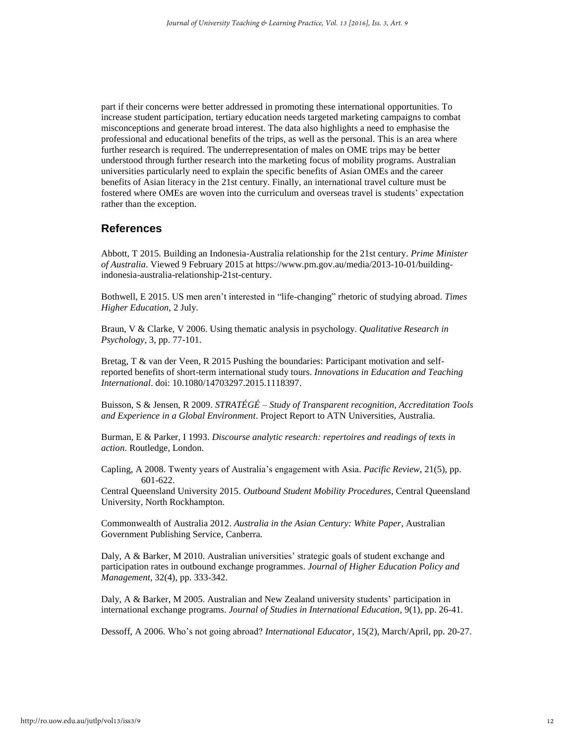part if their concerns were better addressed in promoting these international opportunities. To increase student participation, tertiary education needs targeted marketing campaigns to combat misconceptions and generate broad interest. The data also highlights a need to emphasise the professional and educational benefits of the trips, as well as the personal. This is an area where further research is required. The underrepresentation of males on OME trips may be better understood through further research into the marketing focus of mobility programs. Australian universities particularly need to explain the specific benefits of Asian OMEs and the career benefits of Asian literacy in the 21st century. Finally, an international travel culture must be fostered where OMEs are woven into the curriculum and overseas travel is students' expectation rather than the exception.

## **References**

Abbott, T 2015. Building an Indonesia-Australia relationship for the 21st century. *Prime Minister of Australia*. Viewed 9 February 2015 at https://www.pm.gov.au/media/2013-10-01/buildingindonesia-australia-relationship-21st-century.

Bothwell, E 2015. US men aren't interested in "life-changing" rhetoric of studying abroad. *Times Higher Education*, 2 July.

Braun, V & Clarke, V 2006. Using thematic analysis in psychology. *Qualitative Research in Psychology*, 3, pp. 77-101.

Bretag, T & van der Veen, R 2015 Pushing the boundaries: Participant motivation and selfreported benefits of short-term international study tours. *Innovations in Education and Teaching International*. doi: 10.1080/14703297.2015.1118397.

Buisson, S & Jensen, R 2009. *STRATÉGÉ – Study of Transparent recognition, Accreditation Tools and Experience in a Global Environment*. Project Report to ATN Universities, Australia.

Burman, E & Parker, I 1993. *Discourse analytic research: repertoires and readings of texts in action*. Routledge, London.

Capling, A 2008. Twenty years of Australia's engagement with Asia. *Pacific Review*, 21(5), pp. 601-622.

Central Queensland University 2015. *Outbound Student Mobility Procedures*, Central Queensland University, North Rockhampton.

Commonwealth of Australia 2012. *Australia in the Asian Century: White Paper*, Australian Government Publishing Service, Canberra.

Daly, A & Barker, M 2010. Australian universities' strategic goals of student exchange and participation rates in outbound exchange programmes. *Journal of Higher Education Policy and Management*, 32(4), pp. 333-342.

Daly, A & Barker, M 2005. Australian and New Zealand university students' participation in international exchange programs. *Journal of Studies in International Education*, 9(1), pp. 26-41.

Dessoff, A 2006. Who's not going abroad? *International Educator*, 15(2), March/April, pp. 20-27.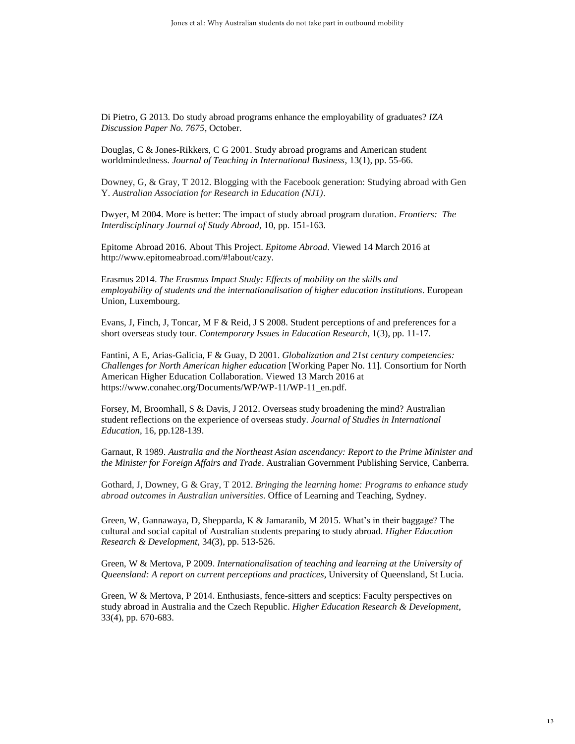Di Pietro, G 2013. Do study abroad programs enhance the employability of graduates? *IZA Discussion Paper No. 7675*, October.

Douglas, C & Jones-Rikkers, C G 2001. Study abroad programs and American student worldmindedness. *Journal of Teaching in International Business*, 13(1), pp. 55-66.

Downey, G, & Gray, T 2012. Blogging with the Facebook generation: Studying abroad with Gen Y. *Australian Association for Research in Education (NJ1)*.

Dwyer, M 2004. More is better: The impact of study abroad program duration. *Frontiers: The Interdisciplinary Journal of Study Abroad*, 10, pp. 151-163.

Epitome Abroad 2016. About This Project. *Epitome Abroad*. Viewed 14 March 2016 at http://www.epitomeabroad.com/#!about/cazy.

Erasmus 2014. *The Erasmus Impact Study: Effects of mobility on the skills and employability of students and the internationalisation of higher education institutions*. European Union, Luxembourg.

Evans, J, Finch, J, Toncar, M F & Reid, J S 2008. Student perceptions of and preferences for a short overseas study tour. *Contemporary Issues in Education Research*, 1(3), pp. 11-17.

Fantini, A E, Arias-Galicia, F & Guay, D 2001. *Globalization and 21st century competencies: Challenges for North American higher education* [Working Paper No. 11]. Consortium for North American Higher Education Collaboration. Viewed 13 March 2016 at https://www.conahec.org/Documents/WP/WP-11/WP-11\_en.pdf.

Forsey, M, Broomhall, S & Davis, J 2012. Overseas study broadening the mind? Australian student reflections on the experience of overseas study. *Journal of Studies in International Education*, 16, pp.128-139.

Garnaut, R 1989. *Australia and the Northeast Asian ascendancy: Report to the Prime Minister and the Minister for Foreign Affairs and Trade*. Australian Government Publishing Service, Canberra.

Gothard, J, Downey, G & Gray, T 2012. *Bringing the learning home: Programs to enhance study abroad outcomes in Australian universities*. Office of Learning and Teaching, Sydney.

Green, W, Gannawaya, D, Shepparda, K & Jamaranib, M 2015. What's in their baggage? The cultural and social capital of Australian students preparing to study abroad. *Higher Education Research & Development*, 34(3), pp. 513-526.

Green, W & Mertova, P 2009. *Internationalisation of teaching and learning at the University of Queensland: A report on current perceptions and practices*, University of Queensland, St Lucia.

Green, W & Mertova, P 2014. Enthusiasts, fence-sitters and sceptics: Faculty perspectives on study abroad in Australia and the Czech Republic. *Higher Education Research & Development*, 33(4), pp. 670-683.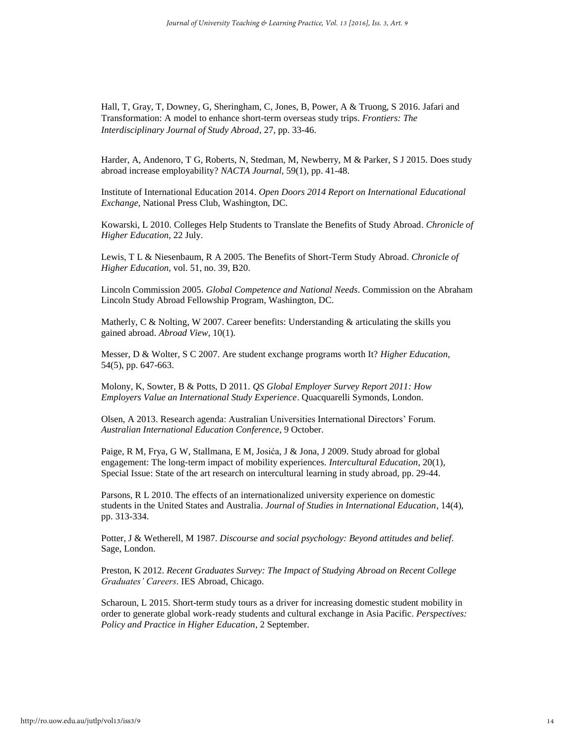Hall, T, Gray, T, Downey, G, Sheringham, C, Jones, B, Power, A & Truong, S 2016. Jafari and Transformation: A model to enhance short-term overseas study trips. *Frontiers: The Interdisciplinary Journal of Study Abroad*, 27, pp. 33-46.

Harder, A, Andenoro, T G, Roberts, N, Stedman, M, Newberry, M & Parker, S J 2015. Does study abroad increase employability? *NACTA Journal*, 59(1), pp. 41-48.

Institute of International Education 2014. *Open Doors 2014 Report on International Educational Exchange*, National Press Club, Washington, DC.

Kowarski, L 2010. Colleges Help Students to Translate the Benefits of Study Abroad. *Chronicle of Higher Education*, 22 July.

Lewis, T L & Niesenbaum, R A 2005. The Benefits of Short-Term Study Abroad. *Chronicle of Higher Education*, vol. 51, no. 39, B20.

Lincoln Commission 2005. *Global Competence and National Needs*. Commission on the Abraham Lincoln Study Abroad Fellowship Program, Washington, DC.

Matherly, C & Nolting, W 2007. Career benefits: Understanding & articulating the skills you gained abroad. *Abroad View*, 10(1).

Messer, D & Wolter, S C 2007. Are student exchange programs worth It? *Higher Education*, 54(5), pp. 647-663.

Molony, K, Sowter, B & Potts, D 2011. *QS Global Employer Survey Report 2011: How Employers Value an International Study Experience*. Quacquarelli Symonds, London.

Olsen, A 2013. Research agenda: Australian Universities International Directors' Forum. *Australian International Education Conference*, 9 October.

Paige, R M, Frya, G W, Stallmana, E M, Josića, J & Jona, J 2009. Study abroad for global engagement: The long-term impact of mobility experiences. *Intercultural Education*, 20(1), Special Issue: State of the art research on intercultural learning in study abroad, pp. 29-44.

Parsons, R L 2010. The effects of an internationalized university experience on domestic students in the United States and Australia. *Journal of Studies in International Education*, 14(4), pp. 313-334.

Potter, J & Wetherell, M 1987. *Discourse and social psychology: Beyond attitudes and belief*. Sage, London.

Preston, K 2012. *Recent Graduates Survey: The Impact of Studying Abroad on Recent College Graduates' Careers*. IES Abroad, Chicago.

Scharoun, L 2015. Short-term study tours as a driver for increasing domestic student mobility in order to generate global work-ready students and cultural exchange in Asia Pacific. *Perspectives: Policy and Practice in Higher Education*, 2 September.